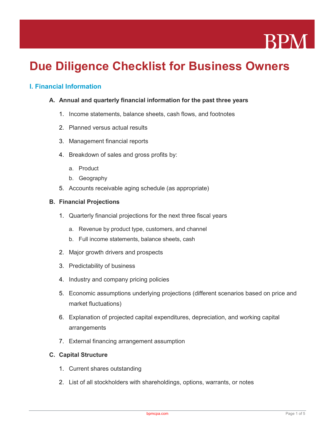

# **Due Diligence Checklist for Business Owners**

# **I. Financial Information**

- **A. Annual and quarterly financial information for the past three years**
	- 1. Income statements, balance sheets, cash flows, and footnotes
	- 2. Planned versus actual results
	- 3. Management financial reports
	- 4. Breakdown of sales and gross profits by:
		- a. Product
		- b. Geography
	- 5. Accounts receivable aging schedule (as appropriate)

#### **B. Financial Projections**

- 1. Quarterly financial projections for the next three fiscal years
	- a. Revenue by product type, customers, and channel
	- b. Full income statements, balance sheets, cash
- 2. Major growth drivers and prospects
- 3. Predictability of business
- 4. Industry and company pricing policies
- 5. Economic assumptions underlying projections (different scenarios based on price and market fluctuations)
- 6. Explanation of projected capital expenditures, depreciation, and working capital arrangements
- 7. External financing arrangement assumption

## **C. Capital Structure**

- 1. Current shares outstanding
- 2. List of all stockholders with shareholdings, options, warrants, or notes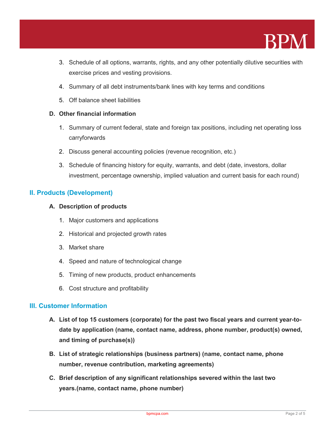

- 3. Schedule of all options, warrants, rights, and any other potentially dilutive securities with exercise prices and vesting provisions.
- 4. Summary of all debt instruments/bank lines with key terms and conditions
- 5. Off balance sheet liabilities

#### **D. Other financial information**

- 1. Summary of current federal, state and foreign tax positions, including net operating loss carryforwards
- 2. Discuss general accounting policies (revenue recognition, etc.)
- 3. Schedule of financing history for equity, warrants, and debt (date, investors, dollar investment, percentage ownership, implied valuation and current basis for each round)

## **II. Products (Development)**

#### **A. Description of products**

- 1. Major customers and applications
- 2. Historical and projected growth rates
- 3. Market share
- 4. Speed and nature of technological change
- 5. Timing of new products, product enhancements
- 6. Cost structure and profitability

## **III. Customer Information**

- **A. List of top 15 customers (corporate) for the past two fiscal years and current year-todate by application (name, contact name, address, phone number, product(s) owned, and timing of purchase(s))**
- **B. List of strategic relationships (business partners) (name, contact name, phone number, revenue contribution, marketing agreements)**
- **C. Brief description of any significant relationships severed within the last two years.(name, contact name, phone number)**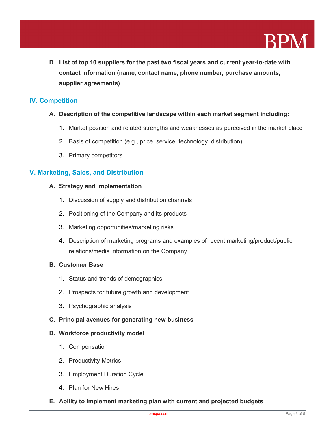

**D. List of top 10 suppliers for the past two fiscal years and current year-to-date with contact information (name, contact name, phone number, purchase amounts, supplier agreements)**

# **IV. Competition**

- **A. Description of the competitive landscape within each market segment including:**
	- 1. Market position and related strengths and weaknesses as perceived in the market place
	- 2. Basis of competition (e.g., price, service, technology, distribution)
	- 3. Primary competitors

# **V. Marketing, Sales, and Distribution**

#### **A. Strategy and implementation**

- 1. Discussion of supply and distribution channels
- 2. Positioning of the Company and its products
- 3. Marketing opportunities/marketing risks
- 4. Description of marketing programs and examples of recent marketing/product/public relations/media information on the Company

### **B. Customer Base**

- 1. Status and trends of demographics
- 2. Prospects for future growth and development
- 3. Psychographic analysis
- **C. Principal avenues for generating new business**

#### **D. Workforce productivity model**

- 1. Compensation
- 2. Productivity Metrics
- 3. Employment Duration Cycle
- 4. Plan for New Hires
- **E. Ability to implement marketing plan with current and projected budgets**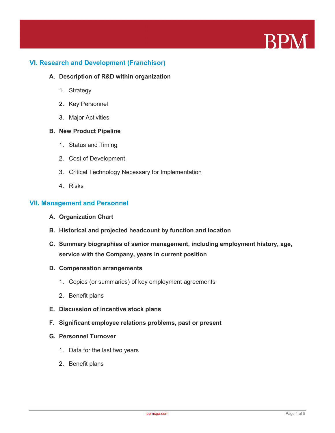

# **VI. Research and Development (Franchisor)**

#### **A. Description of R&D within organization**

- 1. Strategy
- 2. Key Personnel
- 3. Major Activities

#### **B. New Product Pipeline**

- 1. Status and Timing
- 2. Cost of Development
- 3. Critical Technology Necessary for Implementation
- 4. Risks

## **VII. Management and Personnel**

- **A. Organization Chart**
- **B. Historical and projected headcount by function and location**
- **C. Summary biographies of senior management, including employment history, age, service with the Company, years in current position**

#### **D. Compensation arrangements**

- 1. Copies (or summaries) of key employment agreements
- 2. Benefit plans
- **E. Discussion of incentive stock plans**
- **F. Significant employee relations problems, past or present**
- **G. Personnel Turnover**
	- 1. Data for the last two years
	- 2. Benefit plans